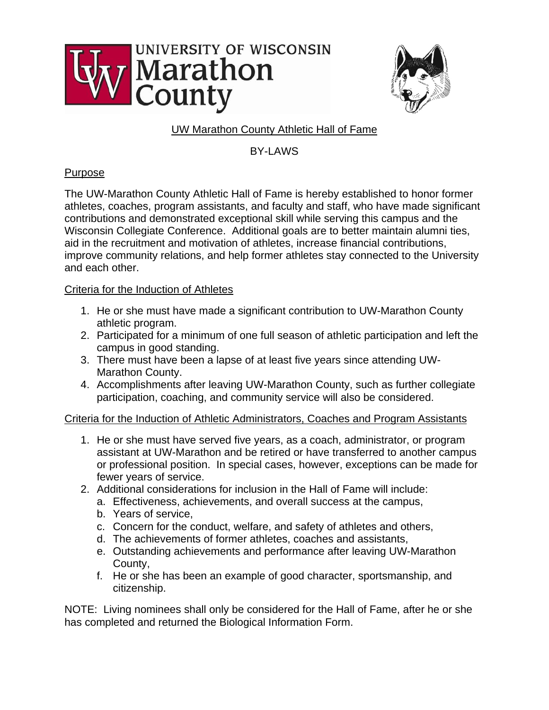



# UW Marathon County Athletic Hall of Fame

BY-LAWS

# **Purpose**

The UW-Marathon County Athletic Hall of Fame is hereby established to honor former athletes, coaches, program assistants, and faculty and staff, who have made significant contributions and demonstrated exceptional skill while serving this campus and the Wisconsin Collegiate Conference. Additional goals are to better maintain alumni ties, aid in the recruitment and motivation of athletes, increase financial contributions, improve community relations, and help former athletes stay connected to the University and each other.

# Criteria for the Induction of Athletes

- 1. He or she must have made a significant contribution to UW-Marathon County athletic program.
- 2. Participated for a minimum of one full season of athletic participation and left the campus in good standing.
- 3. There must have been a lapse of at least five years since attending UW-Marathon County.
- 4. Accomplishments after leaving UW-Marathon County, such as further collegiate participation, coaching, and community service will also be considered.

Criteria for the Induction of Athletic Administrators, Coaches and Program Assistants

- 1. He or she must have served five years, as a coach, administrator, or program assistant at UW-Marathon and be retired or have transferred to another campus or professional position. In special cases, however, exceptions can be made for fewer years of service.
- 2. Additional considerations for inclusion in the Hall of Fame will include:
	- a. Effectiveness, achievements, and overall success at the campus,
	- b. Years of service,
	- c. Concern for the conduct, welfare, and safety of athletes and others,
	- d. The achievements of former athletes, coaches and assistants,
	- e. Outstanding achievements and performance after leaving UW-Marathon County,
	- f. He or she has been an example of good character, sportsmanship, and citizenship.

NOTE: Living nominees shall only be considered for the Hall of Fame, after he or she has completed and returned the Biological Information Form.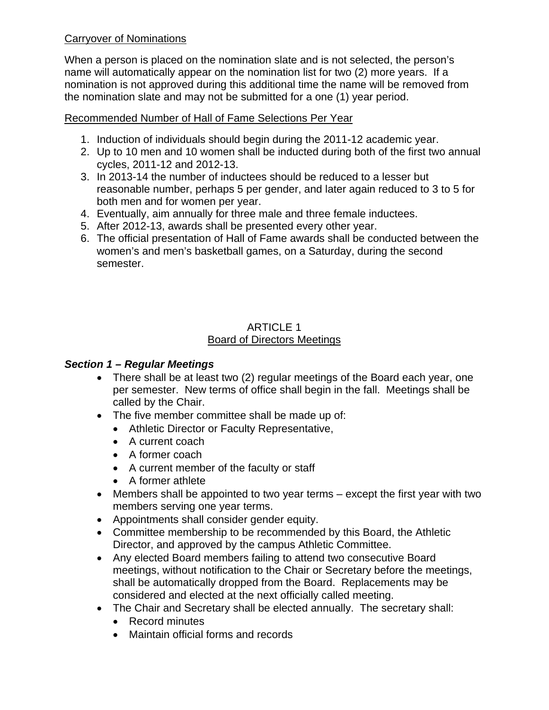## Carryover of Nominations

When a person is placed on the nomination slate and is not selected, the person's name will automatically appear on the nomination list for two (2) more years. If a nomination is not approved during this additional time the name will be removed from the nomination slate and may not be submitted for a one (1) year period.

Recommended Number of Hall of Fame Selections Per Year

- 1. Induction of individuals should begin during the 2011-12 academic year.
- 2. Up to 10 men and 10 women shall be inducted during both of the first two annual cycles, 2011-12 and 2012-13.
- 3. In 2013-14 the number of inductees should be reduced to a lesser but reasonable number, perhaps 5 per gender, and later again reduced to 3 to 5 for both men and for women per year.
- 4. Eventually, aim annually for three male and three female inductees.
- 5. After 2012-13, awards shall be presented every other year.
- 6. The official presentation of Hall of Fame awards shall be conducted between the women's and men's basketball games, on a Saturday, during the second semester.

#### ARTICLE 1 Board of Directors Meetings

#### *Section 1 – Regular Meetings*

- There shall be at least two (2) regular meetings of the Board each year, one per semester. New terms of office shall begin in the fall. Meetings shall be called by the Chair.
- The five member committee shall be made up of:
	- Athletic Director or Faculty Representative,
	- A current coach
	- A former coach
	- A current member of the faculty or staff
	- A former athlete
- Members shall be appointed to two year terms except the first year with two members serving one year terms.
- Appointments shall consider gender equity.
- Committee membership to be recommended by this Board, the Athletic Director, and approved by the campus Athletic Committee.
- Any elected Board members failing to attend two consecutive Board meetings, without notification to the Chair or Secretary before the meetings, shall be automatically dropped from the Board. Replacements may be considered and elected at the next officially called meeting.
- The Chair and Secretary shall be elected annually. The secretary shall:
	- Record minutes
	- Maintain official forms and records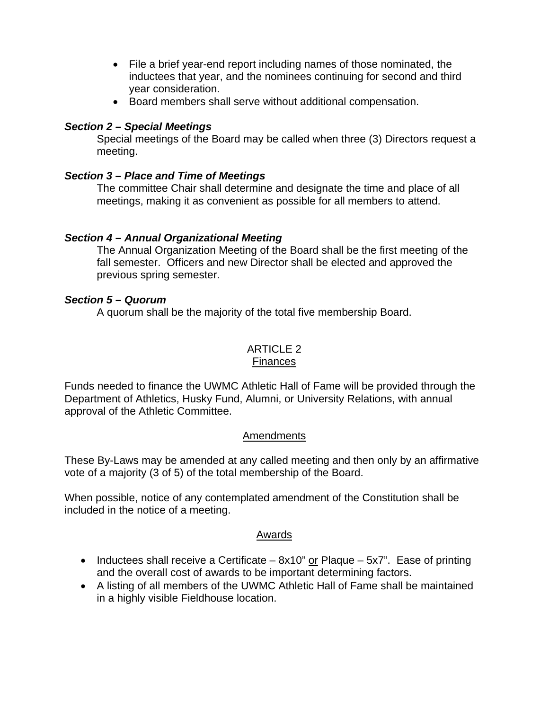- File a brief year-end report including names of those nominated, the inductees that year, and the nominees continuing for second and third year consideration.
- Board members shall serve without additional compensation.

## *Section 2 – Special Meetings*

Special meetings of the Board may be called when three (3) Directors request a meeting.

## *Section 3 – Place and Time of Meetings*

The committee Chair shall determine and designate the time and place of all meetings, making it as convenient as possible for all members to attend.

## *Section 4 – Annual Organizational Meeting*

The Annual Organization Meeting of the Board shall be the first meeting of the fall semester. Officers and new Director shall be elected and approved the previous spring semester.

#### *Section 5 – Quorum*

A quorum shall be the majority of the total five membership Board.

#### ARTICLE 2 Finances

Funds needed to finance the UWMC Athletic Hall of Fame will be provided through the Department of Athletics, Husky Fund, Alumni, or University Relations, with annual approval of the Athletic Committee.

## Amendments

These By-Laws may be amended at any called meeting and then only by an affirmative vote of a majority (3 of 5) of the total membership of the Board.

When possible, notice of any contemplated amendment of the Constitution shall be included in the notice of a meeting.

#### Awards

- Inductees shall receive a Certificate  $8x10$ " or Plaque  $5x7$ ". Ease of printing and the overall cost of awards to be important determining factors.
- A listing of all members of the UWMC Athletic Hall of Fame shall be maintained in a highly visible Fieldhouse location.